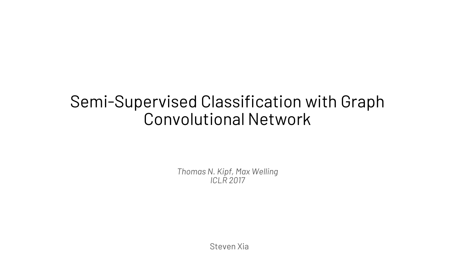#### Semi-Supervised Classification with Graph Convolutional Network

*Thomas N. Kipf, Max Welling ICLR 2017*

Steven Xia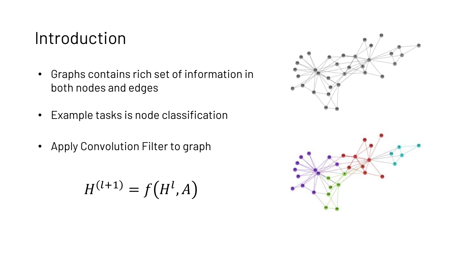#### Introduction

- Graphs contains rich set of information in both nodes and edges
- Example tasks is node classification
- Apply Convolution Filter to graph

$$
H^{(l+1)} = f\big(H^l, A\big)
$$

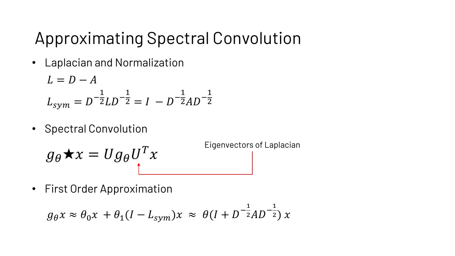# Approximating Spectral Convolution

• Laplacian and Normalization

$$
L = D - A
$$
  

$$
L_{sym} = D^{-\frac{1}{2}}LD^{-\frac{1}{2}} = I - D^{-\frac{1}{2}}AD^{-\frac{1}{2}}
$$

• Spectral Convolution

$$
g_{\theta} \star x = U g_{\theta} U^{T} x
$$
<sup>Eigenvectors of Laplacian</sup>

• First Order Approximation

$$
g_{\theta} x \approx \theta_0 x + \theta_1 (I - L_{sym}) x \approx \theta (I + D^{-\frac{1}{2}}AD^{-\frac{1}{2}}) x
$$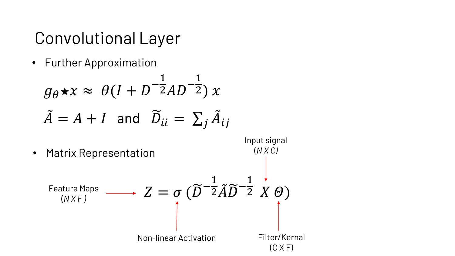# Convolutional Layer

• Further Approximation

$$
g_{\theta} \star x \approx \theta (I + D^{-\frac{1}{2}}AD^{-\frac{1}{2}}) x
$$
  
\n $\tilde{A} = A + I$  and  $\tilde{D}_{ii} = \sum_{j} \tilde{A}_{ij}$ 

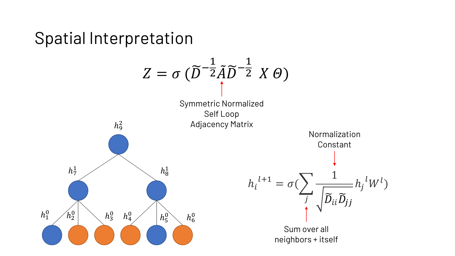#### Spatial Interpretation

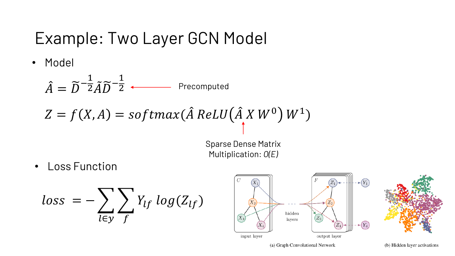### Example: Two Layer GCN Model

• Model

 $\hat{A} = \widetilde{D}^-$ 1  $\frac{1}{2}\tilde{A}\widetilde{D}^-$ 1 2 Precomputed

$$
Z = f(X, A) = softmax(\hat{A} \text{ ReLU}(\hat{A} \text{ X } W^0) W^1)
$$

Sparse Dense Matrix Multiplication: *O(E)*

• Loss Function

$$
loss = -\sum_{l \in y} \sum_{f} Y_{lf} log(Z_{lf})
$$

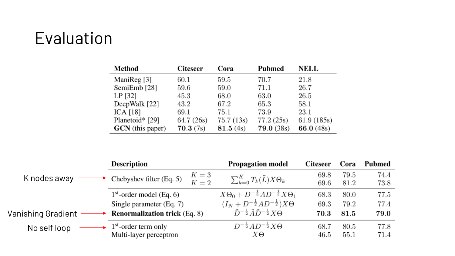# Evaluation

| Method                  | <b>Citeseer</b> | Cora      | Pubmed            | <b>NELL</b> |
|-------------------------|-----------------|-----------|-------------------|-------------|
| ManiReg [3]             | 60.1            | 59.5      | 70.7              | 21.8        |
| SemiEmb [28]            | 59.6            | 59.0      | 71.1              | 26.7        |
| $LP$ [32]               | 45.3            | 68.0      | 63.0              | 26.5        |
| DeepWalk [22]           | 43.2            | 67.2      | 65.3              | 58.1        |
| ICA $[18]$              | 69.1            | 75.1      | 73.9              | 23.1        |
| Planetoid* [29]         | 64.7 (26s)      | 75.7(13s) | 77.2(25s)         | 61.9(185s)  |
| <b>GCN</b> (this paper) | 70.3(7s)        | 81.5(4s)  | <b>79.0 (38s)</b> | 66.0 (48s)  |

|                    | <b>Description</b>                   | <b>Propagation model</b>                                               | <b>Citeseer</b> | Cora | <b>Pubmed</b> |
|--------------------|--------------------------------------|------------------------------------------------------------------------|-----------------|------|---------------|
| K nodes away       | $K=3$<br>Chebyshev filter (Eq. 5)    | $\sum_{k=0}^K T_k(\tilde{L}) X \Theta_k$                               | 69.8            | 79.5 | 74.4          |
|                    |                                      | $K=2$                                                                  | 69.6            | 81.2 | 73.8          |
|                    | $1st$ -order model (Eq. 6)           | $X\Theta_0 + D^{-\frac{1}{2}}AD^{-\frac{1}{2}}X\Theta_1$               | 68.3            | 80.0 | 77.5          |
|                    | Single parameter (Eq. 7)             | $(I_N + D^{-\frac{1}{2}}AD^{-\frac{1}{2}})X\Theta$                     | 69.3            | 79.2 | 77.4          |
| Vanishing Gradient | <b>Renormalization trick (Eq. 8)</b> | $\tilde{D}^{-\frac{1}{2}} \tilde{A} \tilde{D}^{-\frac{1}{2}} X \Theta$ | 70.3            | 81.5 | 79.0          |
| No self loop       | $1st$ -order term only               | $D^{-\frac{1}{2}}AD^{-\frac{1}{2}}X\Theta$                             | 68.7            | 80.5 | 77.8          |
|                    | Multi-layer perceptron               | ΧΘ                                                                     | 46.5            | 55.1 | 71.4          |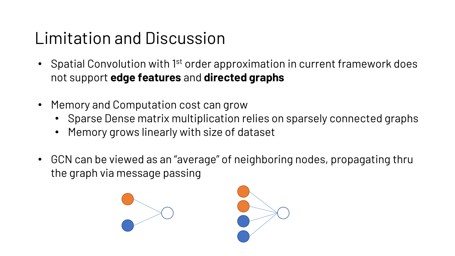# Limitation and Discussion

- Spatial Convolution with 1<sup>st</sup> order approximation in current framework does not support **edge features** and **directed graphs**
- Memory and Computation cost can grow
	- Sparse Dense matrix multiplication relies on sparsely connected graphs
	- Memory grows linearly with size of dataset
- GCN can be viewed as an "average" of neighboring nodes, propagating thru the graph via message passing



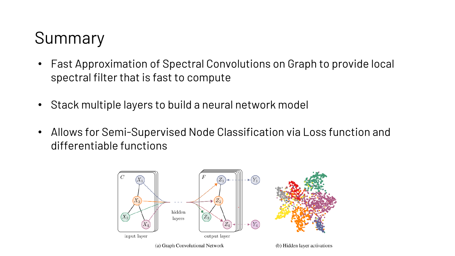# Summary

- Fast Approximation of Spectral Convolutions on Graph to provide local spectral filter that is fast to compute
- Stack multiple layers to build a neural network model
- Allows for Semi-Supervised Node Classification via Loss function and differentiable functions

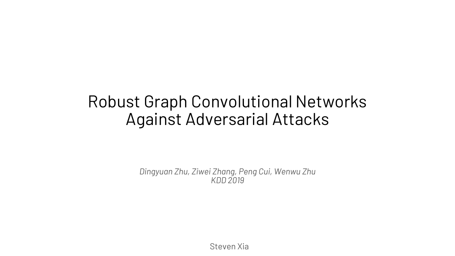#### Robust Graph Convolutional Networks Against Adversarial Attacks

*Dingyuan Zhu, Ziwei Zhang, Peng Cui, Wenwu Zhu KDD 2019*

Steven Xia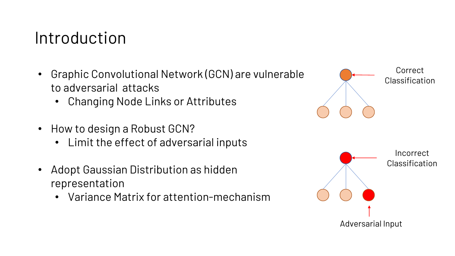### Introduction

- Graphic Convolutional Network (GCN) are vulnerable to adversarial attacks
	- Changing Node Links or Attributes
- How to design a Robust GCN?
	- Limit the effect of adversarial inputs
- Adopt Gaussian Distribution as hidden representation
	- Variance Matrix for attention-mechanism

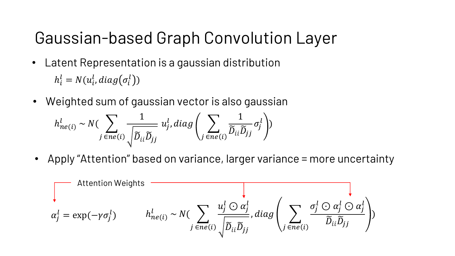# Gaussian-based Graph Convolution Layer

- $h_i^l = N(u_i^l, diag(\sigma_i^l))$ • Latent Representation is a gaussian distribution
- Weighted sum of gaussian vector is also gaussian

$$
h_{ne(i)}^l \sim N(\sum_{j \in ne(i)} \frac{1}{\sqrt{\widetilde{D}_{ii} \widetilde{D}_{jj}}} u_j^l, diag\left(\sum_{j \in ne(i)} \frac{1}{\widetilde{D}_{ii} \widetilde{D}_{jj}} \sigma_j^l\right))
$$

• Apply "Attention" based on variance, larger variance = more uncertainty

$$
\sum_{\alpha_j^l} \text{Attention Weights} \quad \overbrace{\alpha_j^l = \exp(-\gamma \sigma_j^l)} \quad h_{ne(i)}^l \sim N(\sum_{j \in ne(i)} \frac{u_j^l \odot \alpha_j^l}{\sqrt{\widetilde{D}_{ii} \widetilde{D}_{jj}}}, diag\left(\sum_{j \in ne(i)} \frac{\sigma_j^l \odot \alpha_j^l \odot \alpha_j^l}{\widetilde{D}_{ii} \widetilde{D}_{jj}}\right))
$$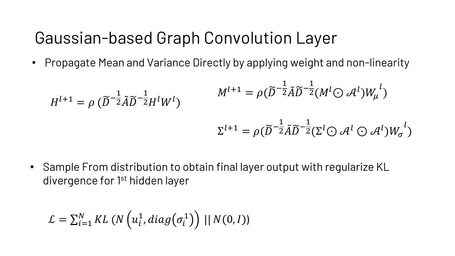## Gaussian-based Graph Convolution Layer

• Propagate Mean and Variance Directly by applying weight and non-linearity

$$
H^{l+1} = \rho \left( \widetilde{D}^{-\frac{1}{2}} \widetilde{A} \widetilde{D}^{-\frac{1}{2}} H^l W^l \right)
$$

$$
M^{l+1} = \rho \left( \widetilde{D}^{-\frac{1}{2}} \widetilde{A} \widetilde{D}^{-\frac{1}{2}} (M^l \odot \mathcal{A}^l) W_\mu^{l} \right)
$$

$$
\Sigma^{l+1} = \rho \left( \widetilde{D}^{-\frac{1}{2}} \widetilde{A} \widetilde{D}^{-\frac{1}{2}} (\Sigma^l \odot \mathcal{A}^l \odot \mathcal{A}^l) W_\sigma^{l} \right)
$$

• Sample From distribution to obtain final layer output with regularize KL divergence for 1<sup>st</sup> hidden layer

$$
\mathcal{L} = \sum_{i=1}^{N} KL\left(N\left(u_i^1, diag(\sigma_i^1)\right) || N(0, I)\right)
$$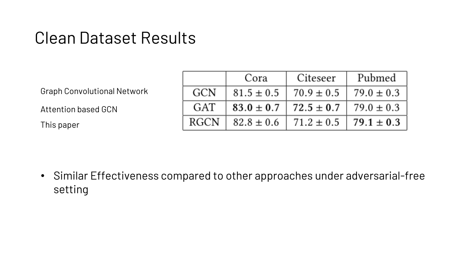### Clean Dataset Results

Graph Convolutional Network

Attention based GCN

This paper

|            | Cora           | Citeseer       | Pubmed         |
|------------|----------------|----------------|----------------|
| <b>GCN</b> | $81.5 \pm 0.5$ | $70.9 \pm 0.5$ | $79.0 \pm 0.3$ |
| GAT        | $83.0 \pm 0.7$ | $72.5 \pm 0.7$ | $79.0 \pm 0.3$ |
| RGCN       | $82.8 \pm 0.6$ | $71.2 \pm 0.5$ | $79.1 \pm 0.3$ |

• Similar Effectiveness compared to other approaches under adversarial-free setting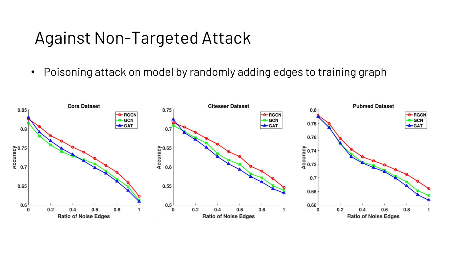#### Against Non-Targeted Attack

• Poisoning attack on model by randomly adding edges to training graph

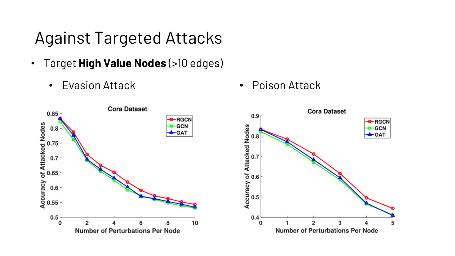# Against Targeted Attacks

- Target **High Value Nodes** (>10 edges)
	- Evasion Attack Poison Attack



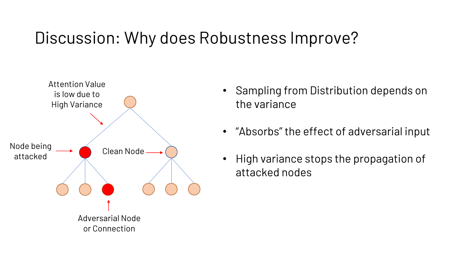# Discussion: Why does Robustness Improve?



- Sampling from Distribution depends on the variance
- "Absorbs" the effect of adversarial input
- High variance stops the propagation of attacked nodes